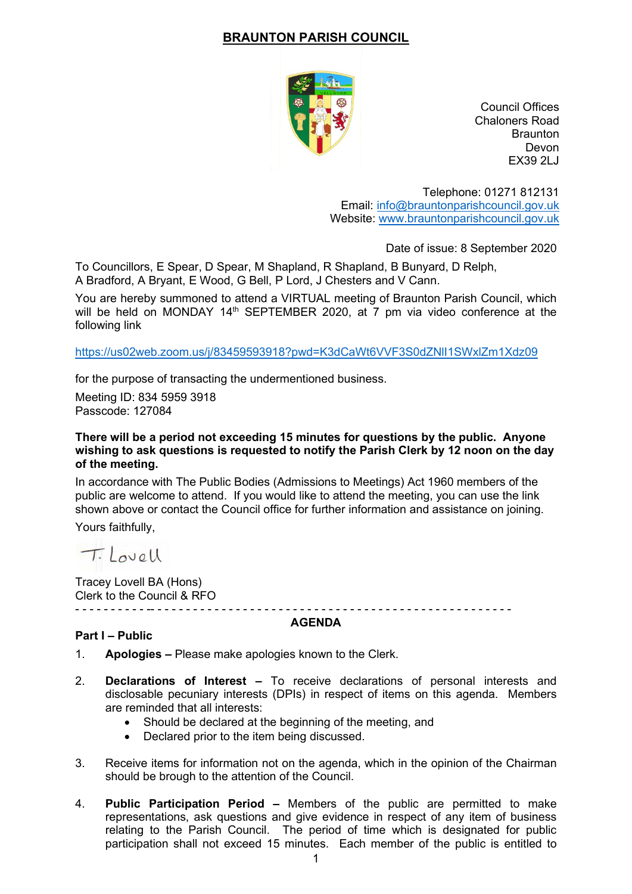# **BRAUNTON PARISH COUNCIL**



Council Offices Chaloners Road **Braunton** Devon EX39 2LJ

Telephone: 01271 812131 Email: [info@brauntonparishcouncil.gov.uk](mailto:info@brauntonparishcouncil.gov.uk) Website: [www.brauntonparishcouncil.gov.uk](http://www.brauntonparishcouncil.gov.uk/)

Date of issue: 8 September 2020

To Councillors, E Spear, D Spear, M Shapland, R Shapland, B Bunyard, D Relph, A Bradford, A Bryant, E Wood, G Bell, P Lord, J Chesters and V Cann.

You are hereby summoned to attend a VIRTUAL meeting of Braunton Parish Council, which will be held on MONDAY 14<sup>th</sup> SEPTEMBER 2020, at 7 pm via video conference at the following link

<https://us02web.zoom.us/j/83459593918?pwd=K3dCaWt6VVF3S0dZNlI1SWxlZm1Xdz09>

for the purpose of transacting the undermentioned business.

Meeting ID: 834 5959 3918 Passcode: 127084

### **There will be a period not exceeding 15 minutes for questions by the public. Anyone wishing to ask questions is requested to notify the Parish Clerk by 12 noon on the day of the meeting.**

In accordance with The Public Bodies (Admissions to Meetings) Act 1960 members of the public are welcome to attend. If you would like to attend the meeting, you can use the link shown above or contact the Council office for further information and assistance on joining.

Yours faithfully,

Tilovell

Tracey Lovell BA (Hons) Clerk to the Council & RFO

#### - - - - - - - - - - -- - - - - - - - - - - - - - - - - - - - - - - - - - - - - - - - - - - - - - - - - - - - - - - - - - - **AGENDA**

## **Part I – Public**

- 1. **Apologies –** Please make apologies known to the Clerk.
- 2. **Declarations of Interest –** To receive declarations of personal interests and disclosable pecuniary interests (DPIs) in respect of items on this agenda. Members are reminded that all interests:
	- Should be declared at the beginning of the meeting, and
	- Declared prior to the item being discussed.
- 3. Receive items for information not on the agenda, which in the opinion of the Chairman should be brough to the attention of the Council.
- 4. **Public Participation Period –** Members of the public are permitted to make representations, ask questions and give evidence in respect of any item of business relating to the Parish Council. The period of time which is designated for public participation shall not exceed 15 minutes. Each member of the public is entitled to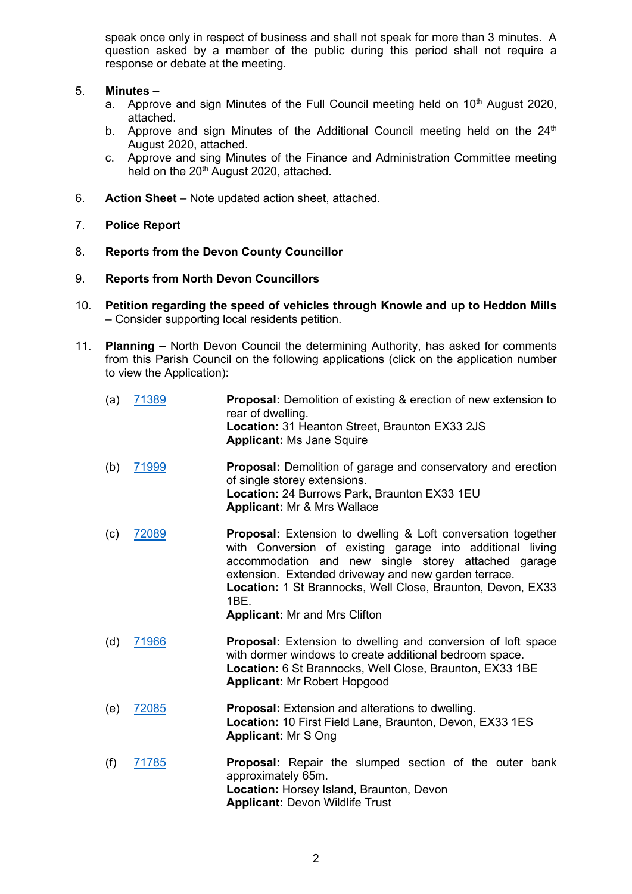speak once only in respect of business and shall not speak for more than 3 minutes. A question asked by a member of the public during this period shall not require a response or debate at the meeting.

# 5. **Minutes –**

- a. Approve and sign Minutes of the Full Council meeting held on  $10<sup>th</sup>$  August 2020, attached.
- b. Approve and sign Minutes of the Additional Council meeting held on the  $24<sup>th</sup>$ August 2020, attached.
- c. Approve and sing Minutes of the Finance and Administration Committee meeting held on the 20<sup>th</sup> August 2020, attached.
- 6. **Action Sheet** Note updated action sheet, attached.
- 7. **Police Report**
- 8. **Reports from the Devon County Councillor**
- 9. **Reports from North Devon Councillors**
- 10. **Petition regarding the speed of vehicles through Knowle and up to Heddon Mills** – Consider supporting local residents petition.
- 11. **Planning –** North Devon Council the determining Authority, has asked for comments from this Parish Council on the following applications (click on the application number to view the Application):

| (a) | 71389 | <b>Proposal:</b> Demolition of existing & erection of new extension to<br>rear of dwelling.<br>Location: 31 Heanton Street, Braunton EX33 2JS<br><b>Applicant: Ms Jane Squire</b>                                                                                                                                                                              |
|-----|-------|----------------------------------------------------------------------------------------------------------------------------------------------------------------------------------------------------------------------------------------------------------------------------------------------------------------------------------------------------------------|
| (b) | 71999 | Proposal: Demolition of garage and conservatory and erection<br>of single storey extensions.<br>Location: 24 Burrows Park, Braunton EX33 1EU<br><b>Applicant: Mr &amp; Mrs Wallace</b>                                                                                                                                                                         |
| (c) | 72089 | <b>Proposal:</b> Extension to dwelling & Loft conversation together<br>with Conversion of existing garage into additional living<br>accommodation and new single storey attached garage<br>extension. Extended driveway and new garden terrace.<br>Location: 1 St Brannocks, Well Close, Braunton, Devon, EX33<br>1BE.<br><b>Applicant: Mr and Mrs Clifton</b> |
| (d) | 71966 | <b>Proposal:</b> Extension to dwelling and conversion of loft space<br>with dormer windows to create additional bedroom space.<br>Location: 6 St Brannocks, Well Close, Braunton, EX33 1BE<br><b>Applicant: Mr Robert Hopgood</b>                                                                                                                              |
| (e) | 72085 | <b>Proposal:</b> Extension and alterations to dwelling.<br>Location: 10 First Field Lane, Braunton, Devon, EX33 1ES<br><b>Applicant: Mr S Ong</b>                                                                                                                                                                                                              |
| (f) | 71785 | Proposal: Repair the slumped section of the outer bank<br>approximately 65m.<br>Location: Horsey Island, Braunton, Devon<br><b>Applicant: Devon Wildlife Trust</b>                                                                                                                                                                                             |